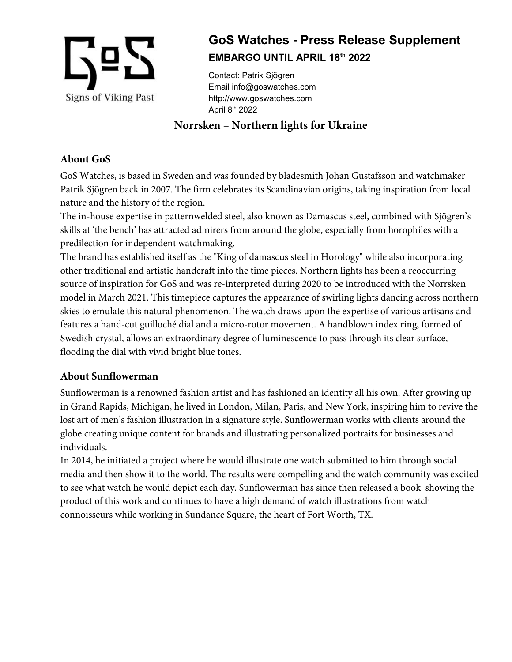

# **GoS Watches - Press Release Supplement EMBARGO UNTIL APRIL 18th 2022**

Contact: Patrik Sjögren Email info@goswatches.com http://www.goswatches.com April 8th 2022

# **Norrsken – Northern lights for Ukraine**

# **About GoS**

GoS Watches, is based in Sweden and was founded by bladesmith Johan Gustafsson and watchmaker Patrik Sjögren back in 2007. The firm celebrates its Scandinavian origins, taking inspiration from local nature and the history of the region.

The in-house expertise in patternwelded steel, also known as Damascus steel, combined with Sjögren's skills at 'the bench' has attracted admirers from around the globe, especially from horophiles with a predilection for independent watchmaking.

The brand has established itself as the "King of damascus steel in Horology" while also incorporating other traditional and artistic handcraft info the time pieces. Northern lights has been a reoccurring source of inspiration for GoS and was re-interpreted during 2020 to be introduced with the Norrsken model in March 2021. This timepiece captures the appearance of swirling lights dancing across northern skies to emulate this natural phenomenon. The watch draws upon the expertise of various artisans and features a hand-cut guilloché dial and a micro-rotor movement. A handblown index ring, formed of Swedish crystal, allows an extraordinary degree of luminescence to pass through its clear surface, flooding the dial with vivid bright blue tones.

### **About Sunflowerman**

Sunflowerman is a renowned fashion artist and has fashioned an identity all his own. After growing up in Grand Rapids, Michigan, he lived in London, Milan, Paris, and New York, inspiring him to revive the lost art of men's fashion illustration in a signature style. Sunflowerman works with clients around the globe creating unique content for brands and illustrating personalized portraits for businesses and individuals.

In 2014, he initiated a project where he would illustrate one watch submitted to him through social media and then show it to the world. The results were compelling and the watch community was excited to see what watch he would depict each day. Sunflowerman has since then released a book showing the product of this work and continues to have a high demand of watch illustrations from watch connoisseurs while working in Sundance Square, the heart of Fort Worth, TX.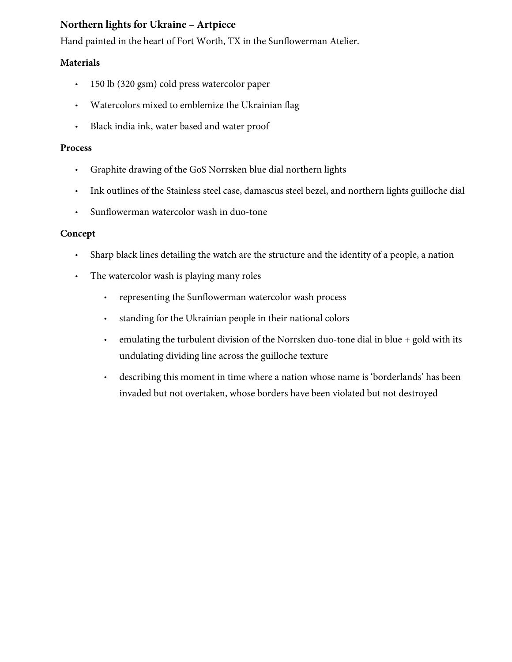## **Northern lights for Ukraine – Artpiece**

Hand painted in the heart of Fort Worth, TX in the Sunflowerman Atelier.

### **Materials**

- 150 lb (320 gsm) cold press watercolor paper
- Watercolors mixed to emblemize the Ukrainian flag
- Black india ink, water based and water proof

### **Process**

- Graphite drawing of the GoS Norrsken blue dial northern lights
- Ink outlines of the Stainless steel case, damascus steel bezel, and northern lights guilloche dial
- Sunflowerman watercolor wash in duo-tone

### **Concept**

- Sharp black lines detailing the watch are the structure and the identity of a people, a nation
- The watercolor wash is playing many roles
	- representing the Sunflowerman watercolor wash process
	- standing for the Ukrainian people in their national colors
	- emulating the turbulent division of the Norrsken duo-tone dial in blue + gold with its undulating dividing line across the guilloche texture
	- describing this moment in time where a nation whose name is 'borderlands' has been invaded but not overtaken, whose borders have been violated but not destroyed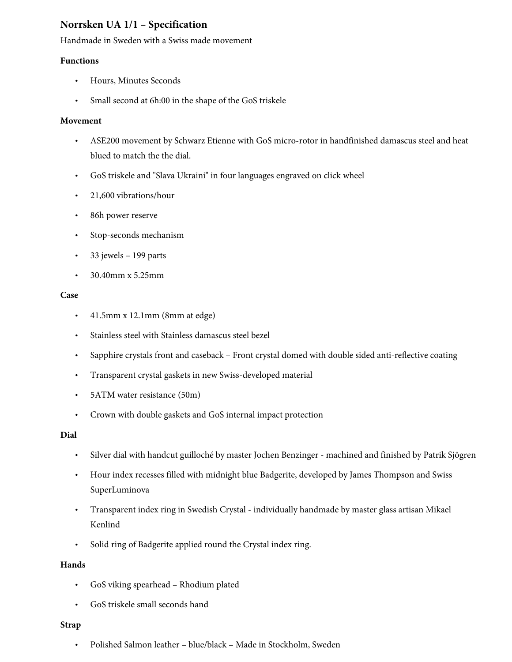### **Norrsken UA 1/1 – Specification**

Handmade in Sweden with a Swiss made movement

### **Functions**

- Hours, Minutes Seconds
- Small second at 6h:00 in the shape of the GoS triskele

### **Movement**

- ASE200 movement by Schwarz Etienne with GoS micro-rotor in handfinished damascus steel and heat blued to match the the dial.
- GoS triskele and "Slava Ukraini" in four languages engraved on click wheel
- 21,600 vibrations/hour
- 86h power reserve
- Stop-seconds mechanism
- 33 jewels 199 parts
- 30.40mm x 5.25mm

### **Case**

- 41.5mm x 12.1mm (8mm at edge)
- Stainless steel with Stainless damascus steel bezel
- Sapphire crystals front and caseback Front crystal domed with double sided anti-reflective coating
- Transparent crystal gaskets in new Swiss-developed material
- 5ATM water resistance (50m)
- Crown with double gaskets and GoS internal impact protection

### **Dial**

- Silver dial with handcut guilloché by master Jochen Benzinger machined and finished by Patrik Sjögren
- Hour index recesses filled with midnight blue Badgerite, developed by James Thompson and Swiss SuperLuminova
- Transparent index ring in Swedish Crystal individually handmade by master glass artisan Mikael Kenlind
- Solid ring of Badgerite applied round the Crystal index ring.

### **Hands**

- GoS viking spearhead Rhodium plated
- GoS triskele small seconds hand

#### **Strap**

• Polished Salmon leather – blue/black – Made in Stockholm, Sweden